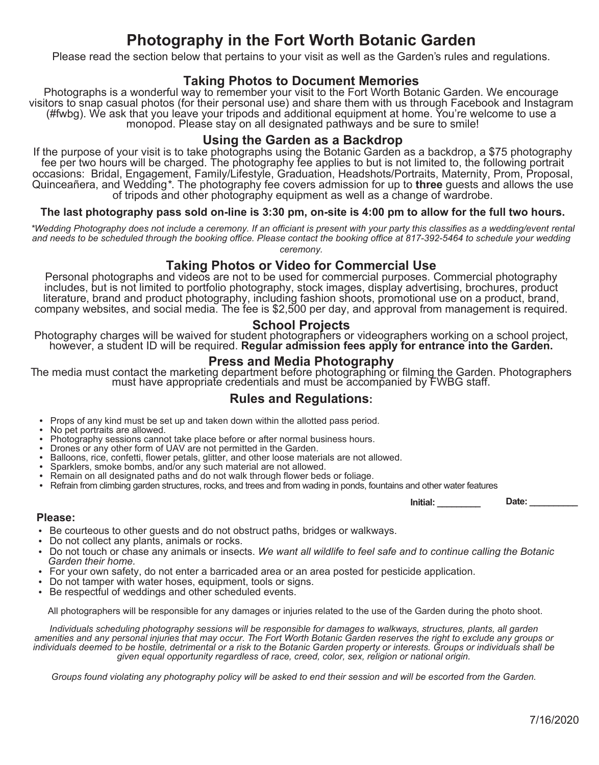# **Photography in the Fort Worth Botanic Garden**

Please read the section below that pertains to your visit as well as the Garden's rules and regulations.

### **Taking Photos to Document Memories**

Photographs is a wonderful way to remember your visit to the Fort Worth Botanic Garden. We encourage visitors to snap casual photos (for their personal use) and share them with us through Facebook and Instagram (#fwbg). We ask that you leave your tripods and additional equipment at home. You're welcome to use a monopod. Please stay on all designated pathways and be sure to smile!

### **Using the Garden as a Backdrop**

If the purpose of your visit is to take photographs using the Botanic Garden as a backdrop, a \$75 photography fee per two hours will be charged. The photography fee applies to but is not limited to, the following portrait occasions: Bridal, Engagement, Family/Lifestyle, Graduation, Headshots/Portraits, Maternity, Prom, Proposal, Quinceañera, and Wedding*\**. The photography fee covers admission for up to **three** guests and allows the use of tripods and other photography equipment as well as a change of wardrobe.

#### **The last photography pass sold on-line is 3:30 pm, on-site is 4:00 pm to allow for the full two hours.**

*\*Wedding Photography does not include a ceremony. If an officiant is present with your party this classifies as a wedding/event rental and needs to be scheduled through the booking office. Please contact the booking office at 817-392-5464 to schedule your wedding ceremony.*

#### **Taking Photos or Video for Commercial Use**

Personal photographs and videos are not to be used for commercial purposes. Commercial photography includes, but is not limited to portfolio photography, stock images, display advertising, brochures, product literature, brand and product photography, including fashion shoots, promotional use on a product, brand, company websites, and social media. The fee is \$2,500 per day, and approval from management is required.

### **School Projects**

Photography charges will be waived for student photographers or videographers working on a school project, however, a student ID will be required. **Regular admission fees apply for entrance into the Garden.**

### **Press and Media Photography**

The media must contact the marketing department before photographing or filming the Garden. Photographers must have appropriate credentials and must be accompanied by FWBG staff.

### **Rules and Regulations:**

- Props of any kind must be set up and taken down within the allotted pass period.
- No pet portraits are allowed.
- Photography sessions cannot take place before or after normal business hours.
- Drones or any other form of UAV are not permitted in the Garden.
- Balloons, rice, confetti, flower petals, glitter, and other loose materials are not allowed.
- Sparklers, smoke bombs, and/or any such material are not allowed.
- Remain on all designated paths and do not walk through flower beds or foliage.
- Refrain from climbing garden structures, rocks, and trees and from wading in ponds, fountains and other water features

**Initial:** \_\_\_\_\_\_\_\_\_\_ Date: \_\_\_\_\_

#### **Please:**

- Be courteous to other guests and do not obstruct paths, bridges or walkways.
- Do not collect any plants, animals or rocks.
- Do not touch or chase any animals or insects. *We want all wildlife to feel safe and to continue calling the Botanic Garden their home.*
- For your own safety, do not enter a barricaded area or an area posted for pesticide application.
- Do not tamper with water hoses, equipment, tools or signs.
- Be respectful of weddings and other scheduled events.

All photographers will be responsible for any damages or injuries related to the use of the Garden during the photo shoot.

*Individuals scheduling photography sessions will be responsible for damages to walkways, structures, plants, all garden amenities and any personal injuries that may occur. The Fort Worth Botanic Garden reserves the right to exclude any groups or individuals deemed to be hostile, detrimental or a risk to the Botanic Garden property or interests. Groups or individuals shall be given equal opportunity regardless of race, creed, color, sex, religion or national origin.*

*Groups found violating any photography policy will be asked to end their session and will be escorted from the Garden.*